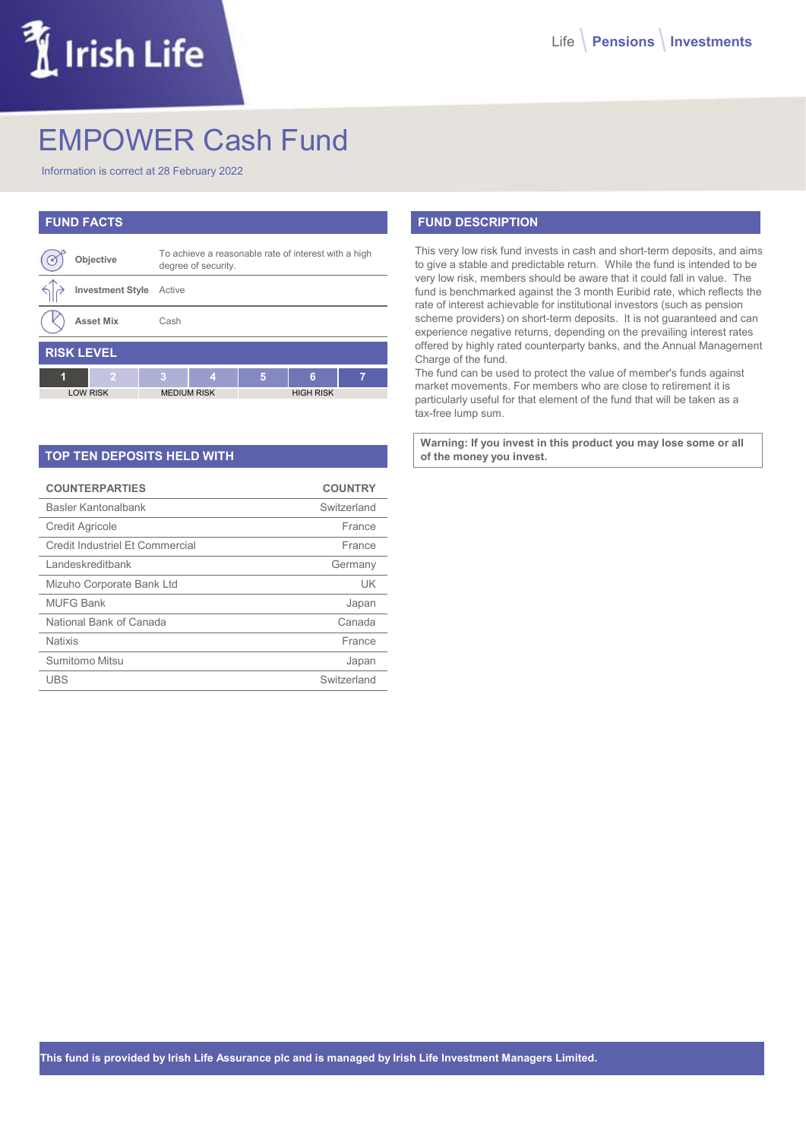## LIrish Life

## EMPOWER Cash Fund

Information is correct at 28 February 2022

| <b>FUND FACTS</b> |                         |                    |                                                                             |   |                  |   |  |
|-------------------|-------------------------|--------------------|-----------------------------------------------------------------------------|---|------------------|---|--|
|                   | Objective               |                    | To achieve a reasonable rate of interest with a high<br>degree of security. |   |                  |   |  |
|                   | <b>Investment Style</b> | Active             |                                                                             |   |                  |   |  |
|                   | <b>Asset Mix</b>        | Cash               |                                                                             |   |                  |   |  |
| <b>RISK LEVEL</b> |                         |                    |                                                                             |   |                  |   |  |
| 1                 | $\overline{2}$          | я                  | 4                                                                           | 5 | 6                | 7 |  |
| <b>LOW RISK</b>   |                         | <b>MEDIUM RISK</b> |                                                                             |   | <b>HIGH RISK</b> |   |  |

| <b>TOP TEN DEPOSITS HELD WITH</b> |                |  |  |  |  |
|-----------------------------------|----------------|--|--|--|--|
| <b>COUNTERPARTIES</b>             | <b>COUNTRY</b> |  |  |  |  |
| Basler Kantonalbank               | Switzerland    |  |  |  |  |
| <b>Credit Agricole</b>            | France         |  |  |  |  |
| Credit Industriel Et Commercial   | France         |  |  |  |  |
| Landeskreditbank                  | Germany        |  |  |  |  |
| Mizuho Corporate Bank Ltd         | UK             |  |  |  |  |
| <b>MUFG Bank</b>                  | Japan          |  |  |  |  |
| National Bank of Canada           | Canada         |  |  |  |  |
| <b>Natixis</b>                    | France         |  |  |  |  |
| Sumitomo Mitsu                    | Japan          |  |  |  |  |
| UBS                               | Switzerland    |  |  |  |  |

## FUND DESCRIPTION

This very low risk fund invests in cash and short-term deposits, and aims to give a stable and predictable return. While the fund is intended to be very low risk, members should be aware that it could fall in value. The fund is benchmarked against the 3 month Euribid rate, which reflects the rate of interest achievable for institutional investors (such as pension scheme providers) on short-term deposits. It is not guaranteed and can experience negative returns, depending on the prevailing interest rates offered by highly rated counterparty banks, and the Annual Management Charge of the fund.

The fund can be used to protect the value of member's funds against market movements. For members who are close to retirement it is particularly useful for that element of the fund that will be taken as a tax-free lump sum.

Warning: If you invest in this product you may lose some or all of the money you invest.